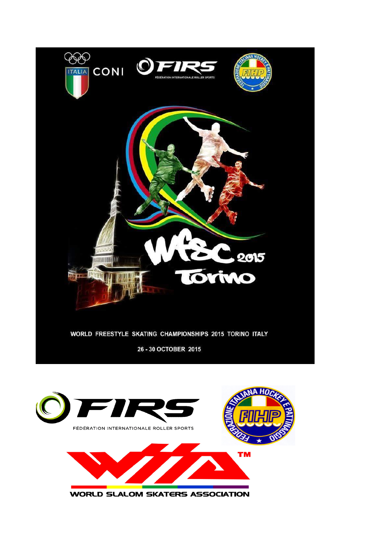

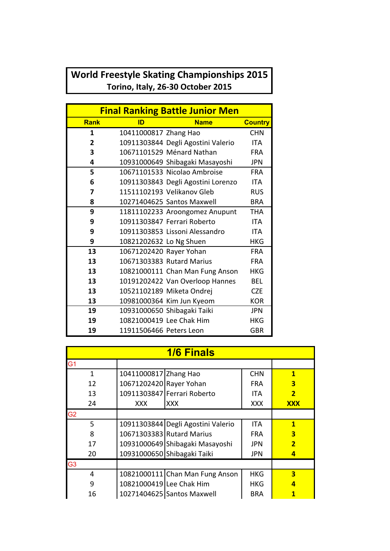## World Freestyle Skating Championships 2015 Torino, Italy, 26-30 October 2015

| <b>Final Ranking Battle Junior Men</b> |                         |                                    |                |  |
|----------------------------------------|-------------------------|------------------------------------|----------------|--|
| <b>Rank</b>                            | ID                      | <b>Name</b>                        | <b>Country</b> |  |
| 1                                      | 10411000817 Zhang Hao   |                                    | <b>CHN</b>     |  |
| $\mathbf{2}$                           |                         | 10911303844 Degli Agostini Valerio | <b>ITA</b>     |  |
| 3                                      |                         | 10671101529 Ménard Nathan          | <b>FRA</b>     |  |
| 4                                      |                         | 10931000649 Shibagaki Masayoshi    | <b>JPN</b>     |  |
| 5                                      |                         | 10671101533 Nicolao Ambroise       | <b>FRA</b>     |  |
| 6                                      |                         | 10911303843 Degli Agostini Lorenzo | <b>ITA</b>     |  |
| 7                                      |                         | 11511102193 Velikanov Gleb         | <b>RUS</b>     |  |
| 8                                      |                         | 10271404625 Santos Maxwell         | <b>BRA</b>     |  |
| 9                                      |                         | 11811102233 Aroongomez Anupunt     | <b>THA</b>     |  |
| 9                                      |                         | 10911303847 Ferrari Roberto        | <b>ITA</b>     |  |
| 9                                      |                         | 10911303853 Lissoni Alessandro     | <b>ITA</b>     |  |
| 9                                      | 10821202632 Lo Ng Shuen |                                    | <b>HKG</b>     |  |
| 13                                     | 10671202420 Rayer Yohan |                                    | <b>FRA</b>     |  |
| 13                                     |                         | 10671303383 Rutard Marius          | <b>FRA</b>     |  |
| 13                                     |                         | 10821000111 Chan Man Fung Anson    | <b>HKG</b>     |  |
| 13                                     |                         | 10191202422 Van Overloop Hannes    | <b>BEL</b>     |  |
| 13                                     |                         | 10521102189 Miketa Ondrej          | <b>CZE</b>     |  |
| 13                                     |                         | 10981000364 Kim Jun Kyeom          | <b>KOR</b>     |  |
| 19                                     |                         | 10931000650 Shibagaki Taiki        | <b>JPN</b>     |  |
| 19                                     |                         | 10821000419 Lee Chak Him           | <b>HKG</b>     |  |
| 19                                     | 11911506466 Peters Leon |                                    | <b>GBR</b>     |  |

| <b>1/6 Finals</b> |                         |                                    |            |                         |  |
|-------------------|-------------------------|------------------------------------|------------|-------------------------|--|
| G <sub>1</sub>    |                         |                                    |            |                         |  |
| 1                 | 10411000817 Zhang Hao   |                                    | <b>CHN</b> | $\mathbf{1}$            |  |
| 12                | 10671202420 Rayer Yohan |                                    | <b>FRA</b> | 3                       |  |
| 13                |                         | 10911303847 Ferrari Roberto        | <b>ITA</b> | $\overline{\mathbf{2}}$ |  |
| 24                | XXX.                    | XXX                                | XXX        | <b>XXX</b>              |  |
| G <sub>2</sub>    |                         |                                    |            |                         |  |
| 5                 |                         | 10911303844 Degli Agostini Valerio | <b>ITA</b> | 1                       |  |
| 8                 |                         | 10671303383 Rutard Marius          | <b>FRA</b> | 3                       |  |
| 17                |                         | 10931000649 Shibagaki Masayoshi    | <b>JPN</b> | $\overline{\mathbf{2}}$ |  |
| 20                |                         | 10931000650 Shibagaki Taiki        | <b>JPN</b> | $\overline{a}$          |  |
| G <sub>3</sub>    |                         |                                    |            |                         |  |
| 4                 |                         | 10821000111 Chan Man Fung Anson    | <b>HKG</b> | 3                       |  |
| 9                 |                         | 10821000419 Lee Chak Him           | <b>HKG</b> | 4                       |  |
| 16                |                         | 10271404625 Santos Maxwell         | <b>BRA</b> |                         |  |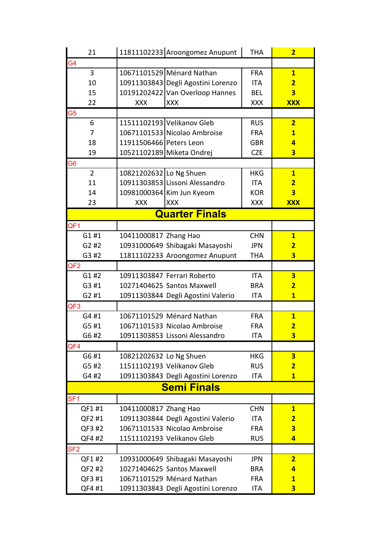| 21                    | 11811102233 Aroongomez Anupunt     | <b>THA</b> | $\overline{2}$          |  |
|-----------------------|------------------------------------|------------|-------------------------|--|
| G <sub>4</sub>        |                                    |            |                         |  |
| 3                     | 10671101529 Ménard Nathan          | <b>FRA</b> | $\mathbf{1}$            |  |
| 10                    | 10911303843 Degli Agostini Lorenzo | <b>ITA</b> | $\overline{2}$          |  |
| 15                    | 10191202422 Van Overloop Hannes    | <b>BEL</b> | $\overline{\mathbf{3}}$ |  |
| 22                    | <b>XXX</b><br><b>XXX</b>           | <b>XXX</b> | <b>XXX</b>              |  |
| G <sub>5</sub>        |                                    |            |                         |  |
| 6                     | 11511102193 Velikanov Gleb         | <b>RUS</b> | $\overline{2}$          |  |
| 7                     | 10671101533 Nicolao Ambroise       | <b>FRA</b> | $\mathbf{1}$            |  |
| 18                    | 11911506466 Peters Leon            | <b>GBR</b> | 4                       |  |
| 19                    | 10521102189 Miketa Ondrej          | <b>CZE</b> | $\overline{\mathbf{3}}$ |  |
| G <sub>6</sub>        |                                    |            |                         |  |
| $\overline{2}$        | 10821202632 Lo Ng Shuen            | <b>HKG</b> | $\mathbf{1}$            |  |
| 11                    | 10911303853 Lissoni Alessandro     | <b>ITA</b> | $\overline{2}$          |  |
| 14                    | 10981000364 Kim Jun Kyeom          | <b>KOR</b> | $\overline{\mathbf{3}}$ |  |
| 23                    | <b>XXX</b><br><b>XXX</b>           | <b>XXX</b> | <b>XXX</b>              |  |
| <b>Quarter Finals</b> |                                    |            |                         |  |
| QF <sub>1</sub>       |                                    |            |                         |  |
| G1#1                  | 10411000817 Zhang Hao              | <b>CHN</b> | $\mathbf{1}$            |  |
| G2#2                  | 10931000649 Shibagaki Masayoshi    | <b>JPN</b> | $\overline{2}$          |  |
| G3 #2                 | 11811102233 Aroongomez Anupunt     | <b>THA</b> | $\overline{\mathbf{3}}$ |  |
| QF <sub>2</sub>       |                                    |            |                         |  |
| G1#2                  | 10911303847 Ferrari Roberto        | <b>ITA</b> | $\overline{\mathbf{3}}$ |  |
| G3 #1                 | 10271404625 Santos Maxwell         | <b>BRA</b> | $\overline{2}$          |  |
| G2#1                  | 10911303844 Degli Agostini Valerio | ITA        | $\overline{\mathbf{1}}$ |  |
| QF <sub>3</sub>       |                                    |            |                         |  |
| G4 #1                 | 10671101529 Ménard Nathan          | <b>FRA</b> | $\overline{1}$          |  |
| G5 #1                 | 10671101533 Nicolao Ambroise       | <b>FRA</b> | $\overline{\mathbf{2}}$ |  |
| G6 #2                 | 10911303853 Lissoni Alessandro     | <b>ITA</b> | 3                       |  |
| QF4                   |                                    |            |                         |  |
| G6 #1                 | 10821202632 Lo Ng Shuen            | <b>HKG</b> | 3                       |  |
| G5 #2                 | 11511102193 Velikanov Gleb         | <b>RUS</b> | $\overline{2}$          |  |
| G4 #2                 | 10911303843 Degli Agostini Lorenzo | <b>ITA</b> | $\overline{\mathbf{1}}$ |  |
| <b>Semi Finals</b>    |                                    |            |                         |  |
| SF <sub>1</sub>       |                                    |            |                         |  |
| QF1 #1                | 10411000817 Zhang Hao              | <b>CHN</b> | $\mathbf{1}$            |  |
| QF2 #1                | 10911303844 Degli Agostini Valerio | <b>ITA</b> | $\overline{2}$          |  |
| QF3 #2                | 10671101533 Nicolao Ambroise       | <b>FRA</b> | $\overline{\mathbf{3}}$ |  |
| QF4 #2                | 11511102193 Velikanov Gleb         | <b>RUS</b> | $\overline{4}$          |  |
| SF <sub>2</sub>       |                                    |            |                         |  |
| QF1 #2                | 10931000649 Shibagaki Masayoshi    | <b>JPN</b> | $\overline{2}$          |  |
| QF2 #2                | 10271404625 Santos Maxwell         | <b>BRA</b> | 4                       |  |
| QF3 #1                | 10671101529 Ménard Nathan          | <b>FRA</b> | $\mathbf{1}$            |  |
| QF4 #1                | 10911303843 Degli Agostini Lorenzo | ITA        | $\overline{\mathbf{3}}$ |  |